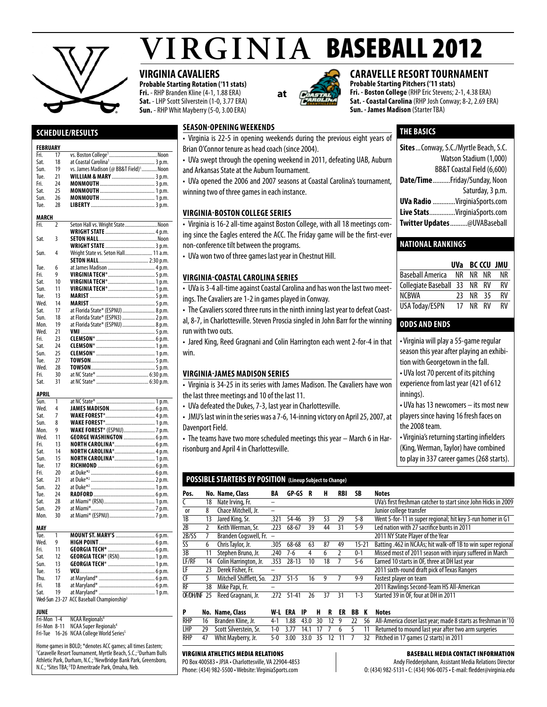

# $VIRGINIA$  BASEBALL 2012

# **VIRGINIA CAVALIERS**

.Noon

Sat. 18 at Coastal Carolina1 ..................................3 p.m.

**Probable Starting Rotation ('11 stats) Fri.** - RHP Branden Kline (4-1, 1.88 ERA) **Sat.** - LHP Scott Silverstein (1-0, 3.77 ERA) **Sun.** - RHP Whit Mayberry (5-0, 3.00 ERA)

**at**

# **CARAVELLE RESORT TOURNAMENT**

**THE basics**

**Probable Starting Pitchers ('11 stats) Fri. - Boston College** (RHP Eric Stevens; 2-1, 4.38 ERA) **Sat. - Coastal Carolina** (RHP Josh Conway; 8-2, 2.69 ERA) **Sun. - James Madison** (Starter TBA)

**Sites**...Conway, S.C./Myrtle Beach, S.C.

**Date/Time**..........Friday/Sunday, Noon

**UVa Radio** .............VirginiaSports.com **Live Stats**...............VirginiaSports.com **Twitter Updates**..........@UVABaseball

Baseball America NR NR NR NR Collegiate Baseball 33 NR RV RV NCBWA 23 NR 35 RV USA Today/ESPN 17 NR RV RV

• Virginia will play a 55-game regular season this year after playing an exhibition with Georgetown in the fall. • UVa lost 70 percent of its pitching experience from last year (421 of 612

• UVa has 13 newcomers – its most new players since having 16 fresh faces on

• Virginia's returning starting infielders (King, Werman, Taylor) have combined to play in 337 career games (268 starts).

**National Rankings**

**odds and ends** 

innings).

the 2008 team.

Watson Stadium (1,000) BB&T Coastal Field (6,600)

Saturday, 3 p.m.

**UVa BC CCU JMU**

# **Season-Opening Weekends**

- Virginia is 22-5 in opening weekends during the previous eight years of Brian O'Connor tenure as head coach (since 2004).
	- UVa swept through the opening weekend in 2011, defeating UAB, Auburn and Arkansas State at the Auburn Tournament.
	- UVa opened the 2006 and 2007 seasons at Coastal Carolina's tournament, winning two of three games in each instance.

#### **VIRGINIA-BOSTON COLLEGE SERIES**

- Virginia is 16-2 all-time against Boston College, with all 18 meetings coming since the Eagles entered the ACC. The Friday game will be the first-ever non-conference tilt between the programs.
- UVa won two of three games last year in Chestnut Hill.

#### **Virginia-CoastalCarolina Series**

- UVa is 3-4 all-time against Coastal Carolina and has won the last two meetings. The Cavaliers are 1-2 in games played in Conway.
- The Cavaliers scored three runs in the ninth inning last year to defeat Coastal, 8-7, in Charlottesville. Steven Proscia singled in John Barr for the winning
- run with two outs. • Jared King, Reed Gragnani and Colin Harrington each went 2-for-4 in that win.

#### **Virginia-James Madison Series**

- Virginia is 34-25 in its series with James Madison. The Cavaliers have won the last three meetings and 10 of the last 11.
- UVa defeated the Dukes, 7-3, last year in Charlottesville.
- JMU's last win in the series was a 7-6, 14-inning victory on April 25, 2007, at Davenport Field.
- The teams have two more scheduled meetings this year March 6 in Harrisonburg and April 4 in Charlottesville.
- **POSSIBLE STARTERS BY POSITION (Lineup Subject to Change)**

| Pos.         |    | No. Name, Class         | BA                       | GP-GS     |    | н  | RBI | SΒ        | <b>Notes</b>                                                   |
|--------------|----|-------------------------|--------------------------|-----------|----|----|-----|-----------|----------------------------------------------------------------|
|              | 18 | Nate Irving, Fr.        |                          |           |    |    |     |           | UVa's first freshman catcher to start since John Hicks in 2009 |
| 0r           | 8  | Chace Mitchell, Jr.     | -                        |           |    |    |     |           | Junior college transfer                                        |
| 1B           | 13 | Jared King, Sr.         | .321                     | 54-46     | 39 | 53 | 29  | $5 - 8$   | Went 5-for-11 in super regional; hit key 3-run homer in G1     |
| 2B           |    | Keith Werman, Sr.       | .223                     | 68-67     | 39 | 44 | 31  | $5-9$     | Led nation with 27 sacrifice bunts in 2011                     |
| 2B/SS        |    | Branden Cogswell, Fr.   | $\overline{\phantom{0}}$ |           |    |    |     |           | 2011 NY State Player of the Year                               |
| SS           | 6  | Chris Taylor, Jr.       | .305                     | 68-68     | 63 | 87 | 49  | $15 - 21$ | Batting .462 in NCAAs; hit walk-off 1B to win super regional   |
| 3B           | 11 | Stephen Bruno, Jr.      | .240                     | $7-6$     | 4  | 6  |     | $0 - 1$   | Missed most of 2011 season with injury suffered in March       |
| LF/RF        | 14 | Colin Harrington, Jr.   | .353                     | $28 - 13$ | 10 | 18 |     | 5-6       | Earned 10 starts in OF, three at DH last year                  |
| LF           | 23 | Derek Fisher, Fr.       |                          |           |    |    |     |           | 2011 sixth-round draft pick of Texas Rangers                   |
| <b>CF</b>    | 5  | Mitchell Shifflett, So. | 237                      | $51 - 5$  | 16 | 9  |     | $9-9$     | Fastest player on team                                         |
| RF           | 38 | Mike Papi, Fr.          |                          |           |    |    |     |           | 2011 Rawlings Second-Team HS All-American                      |
| OF/DH/INF 25 |    | Reed Gragnani, Jr.      | .)7)                     | $51 - 41$ | 26 | 37 | 31  | $1 - 3$   | Started 39 in OF, four at DH in 2011                           |
|              |    |                         |                          |           |    |    |     |           |                                                                |

|            | No. Name, Class       |  |  |  |  | W-L ERA IP H R ER BB K Notes                                                                            |
|------------|-----------------------|--|--|--|--|---------------------------------------------------------------------------------------------------------|
| <b>RHP</b> | 16 Branden Kline, Jr. |  |  |  |  | 4-1 1.88 43.0 30 12 9 22 56 All-America closer last year; made 8 starts as freshman in '10              |
| LHP        |                       |  |  |  |  | 29 Scott Silverstein, Sr. 1-0 3.77 14.1 17 7 6 5 11 Returned to mound last year after two arm surgeries |
|            |                       |  |  |  |  | RHP 47 Whit Mayberry, Jr. 5-0 3.00 33.0 35 12 11 7 32 Pitched in 17 games (2 starts) in 2011            |

#### Virginia Athletics Media Relations

PO Box 400583 • JPJA • Charlottesville, VA 22904-4853 Phone: (434) 982-5500 • Website: VirginiaSports.com

#### Baseball Media Contact Information

Andy Fledderjohann, Assistant Media Relations Director O: (434) 982-5131 • C: (434) 906-0075 • E-mail: fledder@virginia.edu

# **Schedule/Results**

# **FEBRUARY**<br>Fri Fri. 17 vs. Boston College<br>Sat. 18 at Coastal Carolina

| Sun.         | 19             | vs. James Madison (@ BB&T Field) <sup>1</sup> Noon   |
|--------------|----------------|------------------------------------------------------|
| Tue.         | 21             | <b>WILLIAM &amp; MARY</b> 3 p.m.                     |
| Fri.         | 24             |                                                      |
| Sat.         | 25             |                                                      |
| Sun.         | 26             |                                                      |
| Tue.         | 28             |                                                      |
|              |                |                                                      |
| <b>MARCH</b> |                |                                                      |
| Fri.         | $\overline{2}$ | Seton Hall vs. Wright StateNoon                      |
|              |                |                                                      |
| Sat.         | 3              |                                                      |
|              |                |                                                      |
| Sun.         | 4              | Wright State vs. Seton Hall 11 a.m.                  |
|              |                |                                                      |
| Tue.         | 6              |                                                      |
| Fri.         | 9              |                                                      |
| Sat.         | 10             |                                                      |
| Sun.         | 11             |                                                      |
| Tue.         | 13             |                                                      |
| Wed.         | 14             |                                                      |
| Sat.         | 17             | at Florida State* (ESPNU)  8 p.m.                    |
| Sun.         | 18             | at Florida State* (ESPN3)  2 p.m.                    |
| Mon.         | 19             | at Florida State* (ESPNU)  8 p.m.                    |
| Wed.         | 21             |                                                      |
| Fri.         | 23             |                                                      |
| Sat.         | 24             |                                                      |
| Sun.         | 25             |                                                      |
| Tue.         | 27             |                                                      |
| Wed.         | 28             |                                                      |
| Fri.         | 30             |                                                      |
| Sat.         | 31             |                                                      |
|              |                |                                                      |
|              |                |                                                      |
| APRIL        |                |                                                      |
| Sun.         | 1              |                                                      |
| Wed.         | 4              |                                                      |
| Sat.         | 7              |                                                      |
|              | 8              |                                                      |
| Sun.<br>Mon. | 9              |                                                      |
| Wed.         | 11             | <b>WAKE FOREST*</b> (ESPNU) 7 p.m.                   |
| Fri.         | 13             | <b>GEORGE WASHINGTON </b> 6 p.m.                     |
|              | 14             |                                                      |
| Sat.         |                | NORTH CAROLINA* 6 p.m.<br>NORTH CAROLINA* 4 p.m.     |
| Sun.         | 15             | NORTH CAROLINA* 1 p.m.                               |
| Tue.         | 17             |                                                      |
| Fri.         | 20             |                                                      |
| Sat.         | 21             |                                                      |
| Sun.         | 22             |                                                      |
| Tue.         | 24             |                                                      |
| Sat.         | 28             |                                                      |
| Sun.         | 29             |                                                      |
| Mon.         | 30             |                                                      |
| MAY          |                |                                                      |
| Tue.         | 1              | MOUNT ST. MARY'S  6 p.m.                             |
| Wed.         | 9              |                                                      |
| Fri.         | 11             |                                                      |
| Sat.         | 12             | GEORGIA TECH* (RSN) 1 p.m.                           |
| Sun.         | 13             |                                                      |
| Tue.         | 15             |                                                      |
| Thu.         | 17             |                                                      |
| Fri.         | 18             |                                                      |
| Sat.         | 19             |                                                      |
|              |                | Wed-Sun 23-27 ACC Baseball Championship <sup>3</sup> |

# **JUNE**<br>Fri-Mon 1-4

**NCAA Regionals<sup>4</sup>** Fri-Mon 8-11 NCAA Super Regionals<sup>4</sup>

Fri-Tue 16-26 NCAA College World Series<sup>5</sup>

Home games in BOLD; \*denotes ACC games; all times Eastern; <sup>1</sup>Caravelle Resort Tournament, Myrtle Beach, S.C.;<sup>2</sup>Durham Bulls Athletic Park, Durham, N.C.;<sup>3</sup>NewBridge Bank Park, Greensboro, N.C.; <sup>4</sup>Sites TBA; <sup>5</sup>TD Ameritrade Park, Omaha, Neb.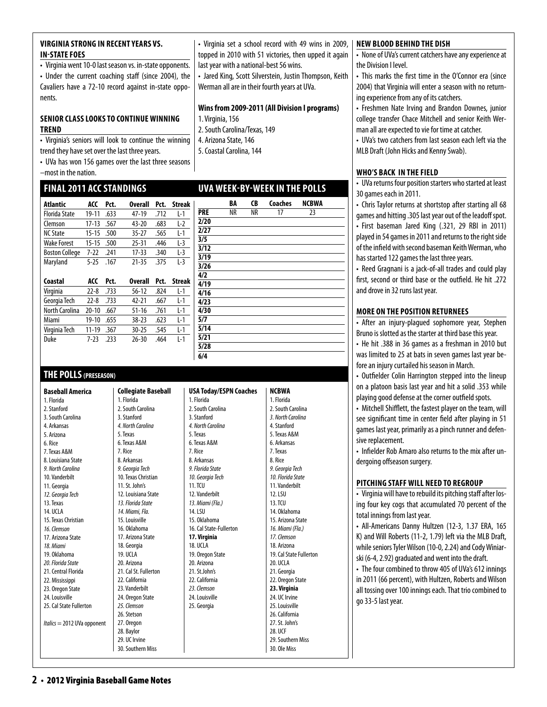#### **virginia strong in recent years vs. IN-STATE FOES**

• Virginia went 10-0 last season vs. in-state opponents. • Under the current coaching staff (since 2004), the Cavaliers have a 72-10 record against in-state opponents.

#### **SENIOR CLASS LOOKS TO CONTINUE WINNING trend**

• Virginia's seniors will look to continue the winning trend they have set over the last three years.

• UVa has won 156 games over the last three seasons –most in the nation.

# **final 2011 ACCStandings**

| Atlantic              | ACC       | Pct. | <b>Overall</b> | Pct. | <b>Streak</b> |
|-----------------------|-----------|------|----------------|------|---------------|
| <b>Florida State</b>  | 19-11     | .633 | 47-19          | .712 | L-1           |
| Clemson               | 17-13     | .567 | $43 - 20$      | .683 | $L-2$         |
| <b>NC State</b>       | $15 - 15$ | .500 | $35 - 27$      | .565 | L-1           |
| <b>Wake Forest</b>    | $15 - 15$ | .500 | $25 - 31$      | .446 | $L-3$         |
| <b>Boston College</b> | 7-22      | .241 | $17 - 33$      | .340 | $L-3$         |
| Maryland              | $5-25$    | .167 | $21 - 35$      | .375 | $L-3$         |
|                       |           |      |                |      |               |
|                       |           |      |                |      |               |
| Coastal               | ACC       | Pct. | <b>Overall</b> | Pct. | <b>Streak</b> |
| Virginia              | $22 - 8$  | .733 | $56-12$        | .824 | L-1           |
| Georgia Tech          | $22 - 8$  | .733 | $42 - 21$      | .667 | L-1           |
| North Carolina        | $20 - 10$ | .667 | $51 - 16$      | .761 | L-1           |
| Miami                 | 19-10     | .655 | $38 - 23$      | .623 | $L-1$         |
| Virginia Tech         | 11-19     | .367 | $30 - 25$      | .545 | $L-1$         |

# **THE POLLS(PRESEASON)**

**Baseball America**  1. Florida 2. Stanford 3. South Carolina 4. Arkansas 5. Arizona 6. Rice 7. Texas A&M 8. Louisiana State *9. North Carolina* 10. Vanderbilt 11. Georgia *12. Georgia Tech* 13. Texas 14. UCLA 15. Texas Christian *16. Clemson* 17. Arizona State *18. Miami* 19. Oklahoma *20. Florida State* 21. Central Florida 22. Mississippi 23. Oregon State 24. Louisville 25. Cal State Fullerton *Italics* = 2012 UVa opponent **Collegiate Baseball**  1. Florida 2. South Carolina 3. Stanford *4. North Carolina* 5. Texas 6. Texas A&M 7. Rice 8. Arkansas *9. Georgia Tech* 10. Texas Christian 11. St. John's 12. Louisiana State *13. Florida State 14. Miami, Fla.*  15. Louisville 16. Oklahoma 17. Arizona State 18. Georgia 19. UCLA 20. Arizona 21. Cal St. Fullerton 22. California 23. Vanderbilt 24. Oregon State *25. Clemson* 26. Stetson 27. Oregon 28. Baylor 29. UC Irvine 30. Southern Miss **USA Today/ESPN Coaches**  1. Florida 2. South Carolina 3. Stanford *4. North Carolina*  5. Texas 6. Texas A&M 7. Rice 8. Arkansas *9. Florida State 10. Georgia Tech*  11. TCU 12. Vanderbilt *13. Miami (Fla.)*  14. LSU 15. Oklahoma 16. Cal State-Fullerton **17. Virginia** 18. UCLA 19. Oregon State 20. Arizona 21. St.John's 22. California *23. Clemson* 24. Louisville 25. Georgia **NCBWA** 1. Florida 2. South Carolina *3. North Carolina*  4. Stanford 5. Texas A&M 6. Arkansas 7. Texas 8. Rice *9. Georgia Tech 10. Florida State*  11. Vanderbilt 12. LSU 13. TCU 14. Oklahoma 15. Arizona State *16. Miami (Fla.) 17. Clemson* 18. Arizona 19. Cal State Fullerton 20. UCLA 21. Georgia 22. Oregon State **23. Virginia**  24. UC Irvine 25. Louisville 26. California 27. St. John's 28. UCF 29. Southern Miss 30. Ole Miss

**new blood behind the dish**

• Virginia set a school record with 49 wins in 2009, topped in 2010 with 51 victories, then upped it again

• Jared King, Scott Silverstein, Justin Thompson, Keith

**Wins from 2009-2011 (All Division I programs)**

**uva week-by-week in the polls**

**BA CB Coaches NCBWA**<br>**PRE** NR NR 17 23 **PRE** NR NR 17 23

last year with a national-best 56 wins.

1. Virginia, 156

**2/20 2/27 3/5 3/12 3/19 3/26 4/2 4/19 4/16 4/23 4/30 5/7 5/14 5/21 5/28 6/4**

2. South Carolina/Texas, 149 4. Arizona State, 146 5. Coastal Carolina, 144

Werman all are in their fourth years at UVa.

• None of UVa's current catchers have any experience at the Division I level.

• This marks the first time in the O'Connor era (since 2004) that Virginia will enter a season with no returning experience from any of its catchers.

• Freshmen Nate Irving and Brandon Downes, junior college transfer Chace Mitchell and senior Keith Werman all are expected to vie for time at catcher.

• UVa's two catchers from last season each left via the MLB Draft (John Hicks and Kenny Swab).

#### **who's back in thefield**

• UVa returns four position starters who started at least 30 games each in 2011.

• Chris Taylor returns at shortstop after starting all 68 games and hitting .305 last year out of the leadoff spot. • First baseman Jared King (.321, 29 RBI in 2011) played in 54 games in 2011 and returns to the right side of the infield with second baseman Keith Werman, who has started 122 games the last three years.

• Reed Gragnani is a jack-of-all trades and could play first, second or third base or the outfield. He hit .272 and drove in 32 runs last year.

#### **More on the Position Returnees**

• After an injury-plagued sophomore year, Stephen Bruno is slotted as the starter at third base this year.

• He hit .388 in 36 games as a freshman in 2010 but was limited to 25 at bats in seven games last year before an injury curtailed his season in March.

• Outfielder Colin Harrington stepped into the lineup on a platoon basis last year and hit a solid .353 while playing good defense at the corner outfield spots.

• Mitchell Shifflett, the fastest player on the team, will see significant time in center field after playing in 51 games last year, primarily as a pinch runner and defensive replacement.

• Infielder Rob Amaro also returns to the mix after undergoing offseason surgery.

#### **pitching staffwill need to regroup**

• Virginia will have to rebuild its pitching staff after losing four key cogs that accumulated 70 percent of the total innings from last year.

• All-Americans Danny Hultzen (12-3, 1.37 ERA, 165 K) and Will Roberts (11-2, 1.79) left via the MLB Draft, while seniors Tyler Wilson (10-0, 2.24) and Cody Winiarski (6-4, 2.92) graduated and went into the draft.

• The four combined to throw 405 of UVa's 612 innings in 2011 (66 percent), with Hultzen, Roberts and Wilson all tossing over 100 innings each. That trio combined to go 33-5 last year.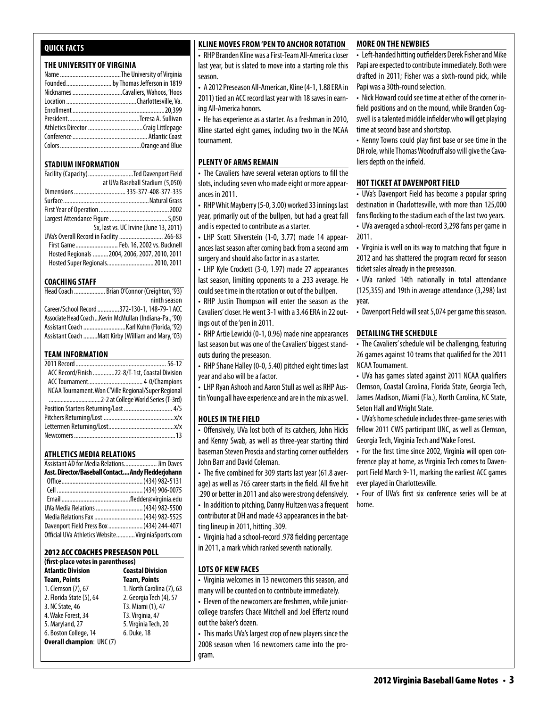# **Quick Facts**

#### **THE UNIVERSITY OF VIRGINIA**

#### **STADIUM INFORMATION**

| Facility (Capacity) Ted Davenport Field       |
|-----------------------------------------------|
| at UVa Baseball Stadium (5,050)               |
| Dimensions  335-377-408-377-335               |
|                                               |
|                                               |
|                                               |
| 5x, last vs. UC Irvine (June 13, 2011)        |
| UVa's Overall Record in Facility  266-83      |
| First Game Feb. 16, 2002 vs. Bucknell         |
| Hosted Regionals 2004, 2006, 2007, 2010, 2011 |
| Hosted Super Regionals 2010, 2011             |

#### **COACHING STAFF**

| Head Coach  Brian O'Connor (Creighton, '93)             |
|---------------------------------------------------------|
| ninth season                                            |
| Career/School Record 372-130-1, 148-79-1 ACC            |
| Associate Head Coach  Kevin McMullan (Indiana-Pa., '90) |
|                                                         |
| Assistant Coach Matt Kirby (William and Mary, '03)      |

#### **TEAM INFORMATION**

| ACC Record/Finish 22-8/T-1st. Coastal Division       |
|------------------------------------------------------|
|                                                      |
| NCAA Tournament. Won C'Ville Regional/Super Regional |
|                                                      |
| Position Starters Returning/Lost  4/5                |
|                                                      |
|                                                      |
|                                                      |
|                                                      |

#### **Athletics MEDIA RELATIONS**

| Assistant AD for Media Relations Jim Daves         |  |
|----------------------------------------------------|--|
| Asst. Director/Baseball Contact Andy Fledderjohann |  |
|                                                    |  |
|                                                    |  |
|                                                    |  |
| UVa Media Relations  (434) 982-5500                |  |
| Media Relations Fax  (434) 982-5525                |  |
| Davenport Field Press Box  (434) 244-4071          |  |
| Official UVa Athletics Website VirginiaSports.com  |  |

#### 2012 ACC Coaches Preseason Poll

| (first-place votes in parentheses) |                           |  |  |
|------------------------------------|---------------------------|--|--|
| <b>Atlantic Division</b>           | <b>Coastal Division</b>   |  |  |
| <b>Team, Points</b>                | <b>Team, Points</b>       |  |  |
| 1. Clemson (7), 67                 | 1. North Carolina (7), 63 |  |  |
| 2. Florida State (5), 64           | 2. Georgia Tech (4), 57   |  |  |
| 3. NC State, 46                    | T3. Miami (1), 47         |  |  |
| 4. Wake Forest, 34                 | T3. Virginia, 47          |  |  |
| 5. Maryland, 27                    | 5. Virginia Tech, 20      |  |  |
| 6. Boston College, 14              | 6. Duke, 18               |  |  |
| <b>Overall champion: UNC (7)</b>   |                           |  |  |
|                                    |                           |  |  |

#### **Kline Moves from 'Pen to Anchor Rotation**

• RHP Branden Kline was a First-Team All-America closer last year, but is slated to move into a starting role this season.

• A 2012 Preseason All-American, Kline (4-1, 1.88 ERA in 2011) tied an ACC record last year with 18 saves in earning All-America honors.

• He has experience as a starter. As a freshman in 2010, Kline started eight games, including two in the NCAA tournament.

#### **plenty of arms remain**

• The Cavaliers have several veteran options to fill the slots, including seven who made eight or more appearances in 2011.

• RHP Whit Mayberry (5-0, 3.00) worked 33 innings last year, primarily out of the bullpen, but had a great fall and is expected to contribute as a starter.

• LHP Scott Silverstein (1-0, 3.77) made 14 appearances last season after coming back from a second arm surgery and should also factor in as a starter.

• LHP Kyle Crockett (3-0, 1.97) made 27 appearances last season, limiting opponents to a .233 average. He could see time in the rotation or out of the bullpen.

• RHP Justin Thompson will enter the season as the Cavaliers' closer. He went 3-1 with a 3.46 ERA in 22 outings out of the 'pen in 2011.

• RHP Artie Lewicki (0-1, 0.96) made nine appearances last season but was one of the Cavaliers' biggest standouts during the preseason.

• RHP Shane Halley (0-0, 5.40) pitched eight times last year and also will be a factor.

• LHP Ryan Ashooh and Aaron Stull as well as RHP Austin Young all have experience and are in the mix as well.

#### **HOLES IN THE FIELD**

• Offensively, UVa lost both of its catchers, John Hicks and Kenny Swab, as well as three-year starting third baseman Steven Proscia and starting corner outfielders John Barr and David Coleman.

• The five combined for 309 starts last year (61.8 average) as well as 765 career starts in the field. All five hit .290 or better in 2011 and also were strong defensively.

• In addition to pitching, Danny Hultzen was a frequent contributor at DH and made 43 appearances in the batting lineup in 2011, hitting .309.

• Virginia had a school-record .978 fielding percentage in 2011, a mark which ranked seventh nationally.

#### **lots of new faces**

• Virginia welcomes in 13 newcomers this season, and many will be counted on to contribute immediately.

• Eleven of the newcomers are freshmen, while juniorcollege transfers Chace Mitchell and Joel Effertz round out the baker's dozen.

• This marks UVa's largest crop of new players since the 2008 season when 16 newcomers came into the program.

#### **more on the newbies**

• Left-handed hitting outfielders Derek Fisher and Mike Papi are expected to contribute immediately. Both were drafted in 2011; Fisher was a sixth-round pick, while Papi was a 30th-round selection.

• Nick Howard could see time at either of the corner infield positions and on the mound, while Branden Cogswell is a talented middle infielder who will get playing time at second base and shortstop.

• Kenny Towns could play first base or see time in the DH role, while Thomas Woodruff also will give the Cavaliers depth on the infield.

#### **HOT TICKET AT DAVENPORT FIELD**

• UVa's Davenport Field has become a popular spring destination in Charlottesville, with more than 125,000 fans flocking to the stadium each of the last two years.

• UVa averaged a school-record 3,298 fans per game in 2011.

• Virginia is well on its way to matching that figure in 2012 and has shattered the program record for season ticket sales already in the preseason.

• UVa ranked 14th nationally in total attendance (125,355) and 19th in average attendance (3,298) last year.

• Davenport Field will seat 5,074 per game this season.

#### **detailing the schedule**

• The Cavaliers' schedule will be challenging, featuring 26 games against 10 teams that qualified for the 2011 NCAA Tournament.

• UVa has games slated against 2011 NCAA qualifiers Clemson, Coastal Carolina, Florida State, Georgia Tech, James Madison, Miami (Fla.), North Carolina, NC State, Seton Hall and Wright State.

• UVa's home schedule includes three-game series with fellow 2011 CWS participant UNC, as well as Clemson, Georgia Tech, Virginia Tech and Wake Forest.

• For the first time since 2002, Virginia will open conference play at home, as Virginia Tech comes to Davenport Field March 9-11, marking the earliest ACC games ever played in Charlottesville.

• Four of UVa's first six conference series will be at home.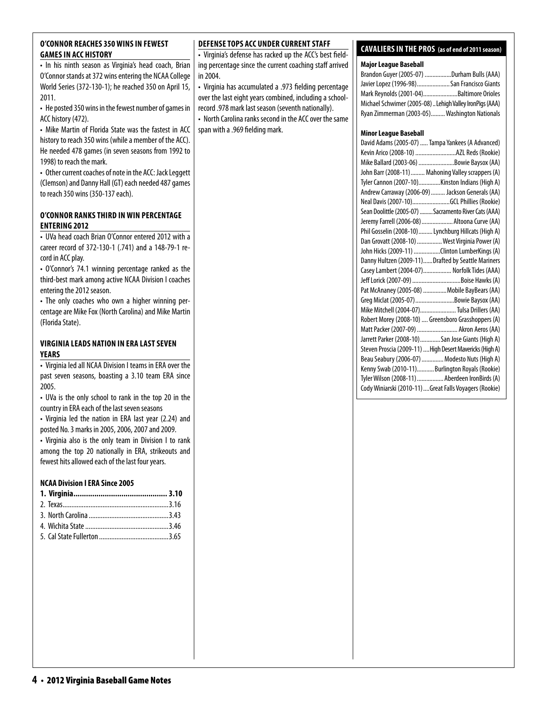#### **O'Connor reaches 350 wins in fewest games in ACC History**

• In his ninth season as Virginia's head coach, Brian O'Connor stands at 372 wins entering the NCAA College World Series (372-130-1); he reached 350 on April 15, 2011.

• He posted 350 wins in the fewest number of games in ACC history (472).

• Mike Martin of Florida State was the fastest in ACC history to reach 350 wins (while a member of the ACC). He needed 478 games (in seven seasons from 1992 to 1998) to reach the mark.

• Other current coaches of note in the ACC: Jack Leggett (Clemson) and Danny Hall (GT) each needed 487 games to reach 350 wins (350-137 each).

#### **o'Connor ranks third inwin percentage entering 2012**

• UVa head coach Brian O'Connor entered 2012 with a career record of 372-130-1 (.741) and a 148-79-1 record in ACC play.

• O'Connor's 74.1 winning percentage ranked as the third-best mark among active NCAA Division I coaches entering the 2012 season.

• The only coaches who own a higher winning percentage are Mike Fox (North Carolina) and Mike Martin (Florida State).

#### **virginia Leads Nation in ERA Last seven Years**

• Virginia led all NCAA Division I teams in ERA over the past seven seasons, boasting a 3.10 team ERA since 2005.

• UVa is the only school to rank in the top 20 in the country in ERA each of the last seven seasons

• Virginia led the nation in ERA last year (2.24) and posted No. 3 marks in 2005, 2006, 2007 and 2009.

• Virginia also is the only team in Division I to rank among the top 20 nationally in ERA, strikeouts and fewest hits allowed each of the last four years.

#### **NCAA Division I ERA Since 2005**

### **DEFENSE TOPS ACC UNDER CURRENT STAFF**

• Virginia's defense has racked up the ACC's best fielding percentage since the current coaching staff arrived in 2004.

• Virginia has accumulated a .973 fielding percentage over the last eight years combined, including a schoolrecord .978 mark last season (seventh nationally). • North Carolina ranks second in the ACC over the same span with a .969 fielding mark.

# **cavaliers in the pros (as of end of 2011 season)**

#### **Major League Baseball**

| Brandon Guyer (2005-07) Durham Bulls (AAA)              |  |
|---------------------------------------------------------|--|
| Javier Lopez (1996-98)San Francisco Giants              |  |
| Mark Reynolds (2001-04)Baltimore Orioles                |  |
| Michael Schwimer (2005-08) Lehigh Valley IronPigs (AAA) |  |
| Ryan Zimmerman (2003-05) Washington Nationals           |  |

#### **Minor League Baseball**

| David Adams (2005-07)  Tampa Yankees (A Advanced)        |
|----------------------------------------------------------|
| Kevin Arico (2008-10) AZL Reds (Rookie)                  |
| Mike Ballard (2003-06) Bowie Baysox (AA)                 |
| John Barr (2008-11)  Mahoning Valley scrappers (A)       |
| Tyler Cannon (2007-10)Kinston Indians (High A)           |
| Andrew Carraway (2006-09)  Jackson Generals (AA)         |
| Neal Davis (2007-10)GCL Phillies (Rookie)                |
| Sean Doolittle (2005-07)  Sacramento River Cats (AAA)    |
| Jeremy Farrell (2006-08)  Altoona Curve (AA)             |
| Phil Gosselin (2008-10) Lynchburg Hillcats (High A)      |
| Dan Grovatt (2008-10)  West Virginia Power (A)           |
| John Hicks (2009-11) Clinton LumberKings (A)             |
| Danny Hultzen (2009-11)Drafted by Seattle Mariners       |
| Casey Lambert (2004-07) Norfolk Tides (AAA)              |
| Jeff Lorick (2007-09) Boise Hawks (A)                    |
| Pat McAnaney (2005-08)  Mobile BayBears (AA)             |
| Greg Miclat (2005-07) Bowie Baysox (AA)                  |
| Mike Mitchell (2004-07) Tulsa Drillers (AA)              |
| Robert Morey (2008-10)  Greensboro Grasshoppers (A)      |
| Matt Packer (2007-09)  Akron Aeros (AA)                  |
| Jarrett Parker (2008-10)San Jose Giants (High A)         |
| Steven Proscia (2009-11)  High Desert Mavericks (High A) |
| Beau Seabury (2006-07)  Modesto Nuts (High A)            |
| Kenny Swab (2010-11)Burlington Royals (Rookie)           |
| Tyler Wilson (2008-11)  Aberdeen IronBirds (A)           |
| Cody Winiarski (2010-11)  Great Falls Voyagers (Rookie)  |
|                                                          |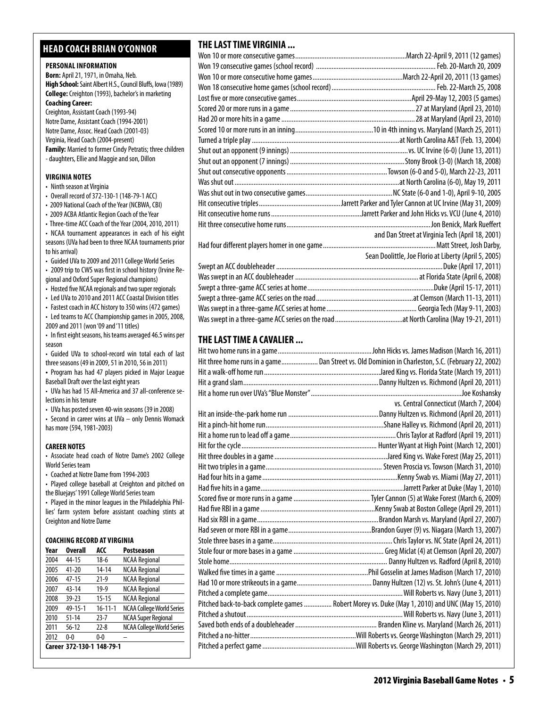# **head coach brian o'connor**

#### **PERSONAL INFORMATION**

**Born:** April 21, 1971, in Omaha, Neb. **High School:** Saint Albert H.S., Council Bluffs, Iowa (1989) **College:** Creighton (1993), bachelor's in marketing **Coaching Career:**  Creighton, Assistant Coach (1993-94) Notre Dame, Assistant Coach (1994-2001)

Notre Dame, Assoc. Head Coach (2001-03) Virginia, Head Coach (2004-present) **Family:** Married to former Cindy Petratis; three children - daughters, Ellie and Maggie and son, Dillon

#### **virginia Notes**

- Ninth season at Virginia
- Overall record of 372-130-1 (148-79-1 ACC)
- 2009 National Coach of the Year (NCBWA, CBI)
- 2009 ACBA Atlantic Region Coach of the Year
- Three-time ACC Coach of the Year (2004, 2010, 2011) • NCAA tournament appearances in each of his eight seasons (UVa had been to three NCAA tournaments prior to his arrival)
- Guided UVa to 2009 and 2011 College World Series
- 2009 trip to CWS was first in school history (Irvine Regional and Oxford Super Regional champions)
- Hosted five NCAA regionals and two super regionals
- Led UVa to 2010 and 2011 ACC Coastal Division titles
- Fastest coach in ACC history to 350 wins (472 games)
- Led teams to ACC Championship games in 2005, 2008, 2009 and 2011 (won '09 and '11 titles)
- In first eight seasons, his teams averaged 46.5 wins per season
- Guided UVa to school-record win total each of last three seasons (49 in 2009, 51 in 2010, 56 in 2011)
- **•**  Program has had 47 players picked in Major League Baseball Draft over the last eight years
- UVa has had 15 All-America and 37 all-conference selections in his tenure
- UVa has posted seven 40-win seasons (39 in 2008)
- Second in career wins at UVa only Dennis Womack has more (594, 1981-2003)

#### **CAREER NOTES**

- Associate head coach of Notre Dame's 2002 College World Series team
- Coached at Notre Dame from 1994-2003
- Played college baseball at Creighton and pitched on the Bluejays' 1991 College World Series team
- Played in the minor leagues in the Philadelphia Phillies' farm system before assistant coaching stints at Creighton and Notre Dame

#### **Coaching Record at virginia**

| Year | <b>Overall</b>            | ACC           | <b>Postseason</b>                |
|------|---------------------------|---------------|----------------------------------|
| 2004 | 44-15                     | $18-6$        | <b>NCAA Regional</b>             |
| 2005 | $41 - 20$                 | $14 - 14$     | <b>NCAA Regional</b>             |
| 2006 | $47-15$                   | $21-9$        | <b>NCAA Regional</b>             |
| 2007 | $43 - 14$                 | $19-9$        | <b>NCAA Regional</b>             |
| 2008 | $39 - 23$                 | $15 - 15$     | <b>NCAA Regional</b>             |
| 2009 | 49-15-1                   | $16 - 11 - 1$ | <b>NCAA College World Series</b> |
| 2010 | $51 - 14$                 | $23 - 7$      | <b>NCAA Super Regional</b>       |
| 2011 | $56 - 12$                 | $22 - 8$      | <b>NCAA College World Series</b> |
| 2012 | $0 - 0$                   | $0 - 0$       |                                  |
|      | Career 372-130-1 148-79-1 |               |                                  |

# **THE LAST TIME VIRGINIA ...**

| and Dan Street at Virginia Tech (April 18, 2001)      |
|-------------------------------------------------------|
|                                                       |
| Sean Doolittle, Joe Florio at Liberty (April 5, 2005) |
|                                                       |
|                                                       |
|                                                       |
|                                                       |
|                                                       |
|                                                       |

# **THE LAST TIME A CAVALIER ...**

| Hit three home runs in a game Dan Street vs. Old Dominion in Charleston, S.C. (February 22, 2002) |
|---------------------------------------------------------------------------------------------------|
|                                                                                                   |
|                                                                                                   |
|                                                                                                   |
| vs. Central Connecticut (March 7, 2004)                                                           |
|                                                                                                   |
|                                                                                                   |
|                                                                                                   |
|                                                                                                   |
|                                                                                                   |
|                                                                                                   |
|                                                                                                   |
|                                                                                                   |
|                                                                                                   |
|                                                                                                   |
|                                                                                                   |
|                                                                                                   |
|                                                                                                   |
|                                                                                                   |
|                                                                                                   |
|                                                                                                   |
|                                                                                                   |
|                                                                                                   |
| Pitched back-to-back complete games  Robert Morey vs. Duke (May 1, 2010) and UNC (May 15, 2010)   |
|                                                                                                   |
|                                                                                                   |
|                                                                                                   |
|                                                                                                   |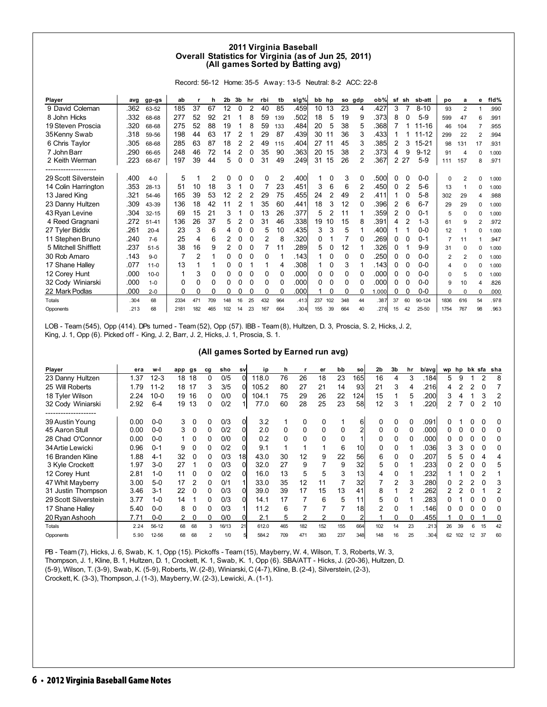#### **2011 Virginia Baseball Overall Statistics for Virginia (as of Jun 25, 2011) (All games Sorted by Batting avg)**

Record: 56-12 Home: 35-5 Away: 13-5 Neutral: 8-2 ACC: 22-8

| Player               | avg  | gp-gs     | ab   |     | h   | 2b  | 3b | hr | rbi | tb  | sig%  | bb hp |                |     | so gdp | ob%   | sf | sh | sb-att    | po       | a        | е            | fid%  |
|----------------------|------|-----------|------|-----|-----|-----|----|----|-----|-----|-------|-------|----------------|-----|--------|-------|----|----|-----------|----------|----------|--------------|-------|
| 9 David Coleman      | .362 | 63-52     | 185  | 37  | 67  | 12  | 0  | 2  | 40  | 85  | .459l | 10    | 13             | 23  | 4      | 427   | 3  | 7  | $8 - 10$  | 93       | 2        |              | .990  |
| 8 John Hicks         | .332 | 68-68     | 277  | 52  | 92  | 21  |    | 8  | 59  | 139 | .502  | 18    | 5              | 19  | 9      | .373  | 8  | 0  | $5-9$     | 599      | 47       | 6            | .991  |
| 19 Steven Proscia    | 320  | 68-68     | 275  | 52  | 88  | 19  |    | 8  | 59  | 133 | .484  | 20    | 5              | 38  | 5      | .368  |    |    | 11-16     | 46       | 104      |              | .955  |
| 35 Kenny Swab        | .318 | 59-56     | 198  | 44  | 63  | 17  | 2  |    | 29  | 87  | .439  | 30    | 11             | 36  | 3      | .433  |    |    | $11 - 12$ | 299      | 22       | 2            | .994  |
| 6 Chris Taylor       | 305  | 68-68     | 285  | 63  | 87  | 18  | 2  |    | 49  | 115 | .404  | 27    | 11             | 45  | 3      | .385  | 2  | 3  | $15 - 21$ | 98       | 131      | 17           | .931  |
| 7 John Barr          | .290 | 66-65     | 248  | 46  | 72  | 14  |    | 0  | 35  | 90  | .363  | 20    | 15             | 38  |        | .373  | 4  | 9  | $9 - 12$  | 91       | Δ        | <sup>0</sup> | 1.000 |
| 2 Keith Werman       | .223 | 68-67     | 197  | 39  | 44  | 5   | 0  | 0  | 31  | 49  | .249  | 31    | 15             | 26  | 2      | .367  | 2  | 27 | $5-9$     | 111      | 157      | 8            | .971  |
| -----------------    |      |           |      |     |     |     |    |    |     |     |       |       |                |     |        |       |    |    |           |          |          |              |       |
| 29 Scott Silverstein | .400 | $4 - 0$   | 5    |     | 2   | 0   |    |    | 0   | 2   | .400l |       |                | 3   | 0      | .500  | 0  | 0  | $0-0$     | $\Omega$ | 2        | U            | 1.000 |
| 14 Colin Harrington  | 353  | $28 - 13$ | 51   | 10  | 18  | 3   |    |    |     | 23  | .451  | 3     | 6              | 6   | 2      | .450  | 0  | 2  | $5-6$     | 13       |          | 0            | 1.000 |
| 13 Jared King        | .321 | 54-46     | 165  | 39  | 53  | 12  |    |    | 29  | 75  | .455  | 24    | $\overline{2}$ | 49  | 2      | .411  |    | 0  | $5 - 8$   | 302      | 29       | 4            | .988  |
| 23 Danny Hultzen     | .309 | 43-39     | 136  | 18  | 42  | 11  | 2  |    | 35  | 60  | .441  | 18    | 3              | 12  | 0      | .396  | 2  | 6  | $6 - 7$   | 29       | 29       | <sup>0</sup> | 1.000 |
| 43 Ryan Levine       | .304 | $32 - 15$ | 69   | 15  | 21  | 3   |    |    | 13  | 26  | .377  | 5     |                | 11  |        | .359  | 2  | 0  | $0 - 1$   | 5        | 0        |              | 1.000 |
| 4 Reed Gragnani      | 272  | $51 - 41$ | 136  | 26  | 37  | 5   |    | 0  | 31  | 46  | .338  | 19    | 10             | 15  | 8      | .391  | 4  | 2  | $1 - 3$   | 61       | 9        | 2            | .972  |
| 27 Tyler Biddix      | .261 | $20 - 4$  | 23   | 3   | 6   | 4   | 0  | 0  | 5   | 10  | .435l | 3     | 3              | 5   |        | .400  |    |    | $0 - 0$   | 12       |          | O            | 1.000 |
| 11 Stephen Bruno     | .240 | $7-6$     | 25   | 4   | 6   | 2   | 0  | 0  | 2   | 8   | .320  |       |                |     | 0      | .269  | 0  | 0  | $0 - 1$   |          | 11       |              | .947  |
| 5 Mitchell Shifflett | .237 | $51 - 5$  | 38   | 16  | 9   | 2   | 0  | 0  |     | 11  | .289  | 5     | 0              | 12  |        | .326  | 0  |    | $9 - 9$   | 31       | 0        | O            | 1.000 |
| 30 Rob Amaro         | .143 | $9 - 0$   | 7    | 2   |     | 0   | 0  | 0  | 0   |     | .1431 |       | 0              | 0   | 0      | 250   | 0  | 0  | $0-0$     | 2        | 2        | O            | 1.000 |
| 17 Shane Halley      | .077 | $11 - 0$  | 13   |     |     | 0   | 0  |    | 1   | 4   | .308  |       | 0              | 3   |        | .1431 | 0  | 0  | $0 - 0$   | 4        | $\Omega$ | O            | 1.000 |
| 12 Corey Hunt        | .000 | $10 - 0$  |      | 3   | 0   | 0   | 0  | 0  | 0   | 0   | .000  | 0     | 0              | 0   | 0      | .000  | 0  | 0  | $0 - 0$   | 0        | 5        | O            | 1.000 |
| 32 Cody Winiarski    | .000 | $1 - 0$   | 0    | 0   | 0   | 0   | O  |    | 0   | 0   | .000l |       | 0              | 0   | 0      | .000  | 0  | 0  | $0 - 0$   | 9        | 10       | 4            | .826  |
| 22 Mark Podlas       | .000 | $2 - 0$   | 0    | 0   | 0   |     |    |    | 0   | 0   | .000  |       | 0              | 0   | 0      | .000  | 0  | 0  | $0-0$     | 0        | 0        | 0            | .000  |
| Totals               | .304 | 68        | 2334 | 471 | 709 | 148 | 16 | 25 | 432 | 964 | .413  | 237   | 102            | 348 | 44     | .387  | 37 | 60 | 90-124    | 1836     | 616      | 54           | .978  |
| Opponents            | .213 | 68        | 2181 | 182 | 465 | 102 | 14 | 23 | 167 | 664 | .3041 | 155   | 39             | 664 | 40     | .276  | 15 | 42 | 25-50     | 1754     | 767      | 98           | .963  |

LOB - Team (545), Opp (414). DPs turned - Team (52), Opp (57). IBB - Team (8), Hultzen, D. 3, Proscia, S. 2, Hicks, J. 2, King, J. 1, Opp (6). Picked off - King, J. 2, Barr, J. 2, Hicks, J. 1, Proscia, S. 1.

#### **(All games Sorted by Earned run avg)**

| Player                               | era  | w-l      | app | gs | cg             | sho   | sv       | ip    | h   |     | er  | bb  | sol             | 2 <sub>b</sub> | 3b       | hr       | b/avg | wp | hp  |    |                | bk sfa sha |
|--------------------------------------|------|----------|-----|----|----------------|-------|----------|-------|-----|-----|-----|-----|-----------------|----------------|----------|----------|-------|----|-----|----|----------------|------------|
| 23 Danny Hultzen                     | 1.37 | $12 - 3$ | 18  | 18 | 0              | 0/5   | $\Omega$ | 118.0 | 76  | 26  | 18  | 23  | 165             | 16             | 4        | 3        | .184  | 5  | 9   |    | $\overline{2}$ | 8          |
| 25 Will Roberts                      | 1.79 | $11 - 2$ | 18  | 17 | 3              | 3/5   | 0        | 105.2 | 80  | 27  | 21  | 14  | 93              | 21             | 3        |          | .216  | 4  |     |    | 0              |            |
| 18 Tyler Wilson                      | 2.24 | $10 - 0$ | 19  | 16 | 0              | 0/0   | 01       | 104.1 | 75  | 29  | 26  | 22  | 124             | 15             |          | 5        | .200  | 3  |     |    | З              | 2          |
| 32 Cody Winiarski                    | 2.92 | $6 - 4$  | 19  | 13 | 0              | 0/2   |          | 77.0  | 60  | 28  | 25  | 23  | 58              | 12             | 3        |          | .220  |    |     | 0  |                | 10         |
| -----------------<br>39 Austin Young | 0.00 | $0 - 0$  | 3   | 0  |                | 0/3   | Οl       | 3.2   |     | 0   | 0   |     | 6               |                |          |          | .091  |    |     |    |                | 0          |
| 45 Aaron Stull                       | 0.00 | $0 - 0$  | 3   | 0  | 0              | 0/2   | 0        | 2.0   | 0   | 0   | 0   | 0   |                 | 0              | 0        |          | .000  |    |     |    |                | 0          |
| 28 Chad O'Connor                     | 0.00 | $0 - 0$  |     | 0  | 0              | 0/0   | U        | 0.2   |     | 0   | 0   | 0   |                 |                | 0        |          | .000  |    |     |    |                | 0          |
| 34 Artie Lewicki                     | 0.96 | $0 - 1$  | 9   | O  | 0              | 0/2   |          | 9.1   |     |     |     | 6   | 10              |                | 0        |          | .036  | 3  |     | 0  | O              | 0          |
| 16 Branden Kline                     | 1.88 | $4 - 1$  | 32  | 0  | 0              | 0/3   | 18l      | 43.0  | 30  | 12  | 9   | 22  | 56              | 6              | 0        | $\Omega$ | .207  | 5  | 5   |    | 4              | 4          |
| 3 Kyle Crockett                      | 1.97 | $3-0$    | 27  |    | 0              | 0/3   |          | 32.0  | 27  | 9   |     | 9   | 32              | 5              |          |          | 233   |    |     |    |                | 5          |
| 12 Corey Hunt                        | 2.81 | $1 - 0$  | 11  |    | 0              | 0/2   |          | 16.0  | 13  | 5   | 5   | 3   | 13 <sub>l</sub> | 4              | $\Omega$ |          | 232   |    |     |    |                |            |
| 47 Whit Mayberry                     | 3.00 | $5-0$    | 17  |    | 0              | 0/1   |          | 33.0  | 35  | 12  | 11  |     | 32              |                | 2        |          | .280  |    |     | 2  |                | 3          |
| 31 Justin Thompson                   | 3.46 | $3 - 1$  | 22  | 0  | 0              | 0/3   |          | 39.0  | 39  | 17  | 15  | 13  | 41              | 8              |          |          | 262   |    |     |    |                | 2          |
| 29 Scott Silverstein                 | 3.77 | $1 - 0$  | 14  |    | 0              | 0/3   | ΩI       | 14.1  | 17  |     | 6   | 5   | 11              | 5              | $\Omega$ |          | .283  |    |     | 0  | O              | $\Omega$   |
| 17 Shane Halley                      | 5.40 | $0 - 0$  | 8   |    | 0              | 0/3   |          | 11.2  | 6   |     |     |     | 18 <sup>l</sup> | 2              | 0        |          | .146  |    |     | 0  | O              | 0          |
| 20 Ryan Ashooh                       | 7.71 | $0-0$    |     | 0  | 0              | 0/0   |          | 2.1   | 5   | 2   |     | 0   |                 |                | 0        |          | .455  |    |     | 0  |                | 0          |
| Totals                               | 2.24 | 56-12    | 68  | 68 | 3              | 16/13 |          | 612.0 | 465 | 182 | 152 | 155 | 664             | 102            | 14       | 23       | .213  | 26 | 39  |    | 15             | 42         |
| Opponents                            | 5.90 | 12-56    | 68  | 68 | $\overline{2}$ | 1/0   |          | 584.2 | 709 | 471 | 383 | 237 | 348             | 148            | 16       | 25       | .304  | 62 | 102 | 12 | 37             | 60         |

PB - Team (7), Hicks, J. 6, Swab, K. 1, Opp (15). Pickoffs - Team (15), Mayberry, W. 4, Wilson, T. 3, Roberts, W. 3, Thompson, J. 1, Kline, B. 1, Hultzen, D. 1, Crockett, K. 1, Swab, K. 1, Opp (6). SBA/ATT - Hicks, J. (20-36), Hultzen, D. (5-9), Wilson, T. (3-9), Swab, K. (5-9), Roberts, W. (2-8), Winiarski, C (4-7), Kline, B. (2-4), Silverstein, (2-3), Crockett, K. (3-3), Thompson, J. (1-3), Mayberry, W. (2-3), Lewicki, A. (1-1).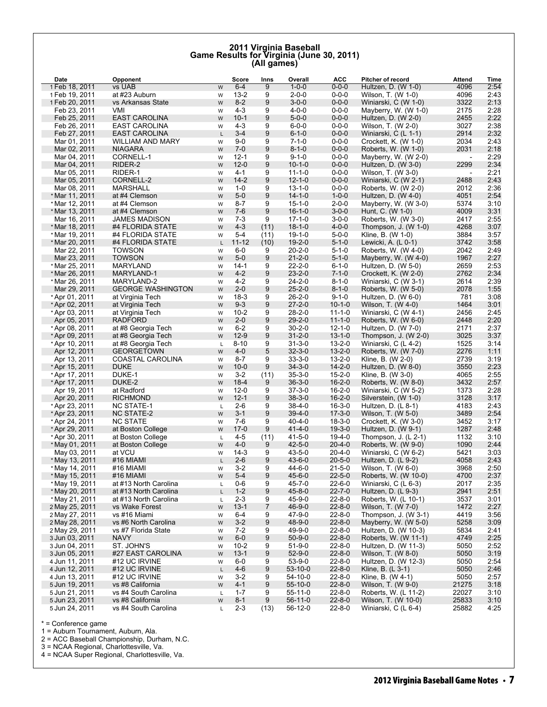# **2011 Virginia Baseball Game Results for Virginia (June 30, 2011) (All games)**

| Date                             | Opponent                             |                | Score               | Inns           | Overall                      | <b>ACC</b>                   | Pitcher of record                           | Attend                           | Time         |
|----------------------------------|--------------------------------------|----------------|---------------------|----------------|------------------------------|------------------------------|---------------------------------------------|----------------------------------|--------------|
| 1 Feb 18, 2011                   | vs UAB                               | W              | $6 - 4$             | 9              | $1 - 0 - 0$                  | $0 - 0 - 0$                  | Hultzen, D. (W 1-0)                         | 4096                             | 2:54         |
| 1 Feb 19, 2011                   | at #23 Auburn                        | W              | $13 - 2$            | 9              | $2 - 0 - 0$                  | $0 - 0 - 0$                  | Wilson, T. (W 1-0)                          | 4096                             | 2:43         |
| 1 Feb 20, 2011                   | vs Arkansas State                    | ${\sf W}$      | $8 - 2$             | 9              | $3 - 0 - 0$                  | $0 - 0 - 0$                  | Winiarski, C (W 1-0)                        | 3322                             | 2:13         |
| Feb 23, 2011                     | VMI                                  | W              | $4 - 3$             | 9              | $4 - 0 - 0$                  | $0 - 0 - 0$                  | Mayberry, W. (W 1-0)                        | 2175                             | 2:28         |
| Feb 25, 2011                     | <b>EAST CAROLINA</b>                 | W              | $10 - 1$            | 9              | $5 - 0 - 0$                  | $0 - 0 - 0$                  | Hultzen, D. (W 2-0)                         | 2455                             | 2:22         |
| Feb 26, 2011                     | <b>EAST CAROLINA</b>                 | W              | $4 - 3$             | 9              | $6 - 0 - 0$                  | $0 - 0 - 0$                  | Wilson, T. (W 2-0)                          | 3027                             | 2:38         |
| Feb 27, 2011                     | <b>EAST CAROLINA</b>                 | $\mathsf L$    | $3 - 4$             | 9              | $6 - 1 - 0$                  | $0 - 0 - 0$                  | Winiarski, C (L 1-1)                        | 2914                             | 2:32         |
| Mar 01, 2011                     | <b>WILLIAM AND MARY</b>              | W              | $9-0$               | 9              | $7 - 1 - 0$                  | $0 - 0 - 0$                  | Crockett, K. $(W 1-0)$                      | 2034                             | 2:43         |
| Mar 02, 2011                     | <b>NIAGARA</b>                       | ${\sf W}$      | $7 - 0$             | 9              | $8 - 1 - 0$                  | $0 - 0 - 0$                  | Roberts, W. (W 1-0)                         | 2031                             | 2:18         |
| Mar 04, 2011                     | CORNELL-1                            | W              | $12 - 1$            | 9              | $9 - 1 - 0$                  | $0 - 0 - 0$                  | Mayberry, W. (W 2-0)                        | $\overline{\phantom{a}}$         | 2:29         |
| Mar 04, 2011                     | RIDER-2                              | ${\sf W}$      | $12 - 0$            | 9<br>9         | $10 - 1 - 0$                 | $0 - 0 - 0$                  | Hultzen, D. (W 3-0)                         | 2299                             | 2:34         |
| Mar 05, 2011                     | RIDER-1<br>CORNELL-2                 | W              | 4-1<br>$14 - 2$     | 9              | $11 - 1 - 0$<br>$12 - 1 - 0$ | $0 - 0 - 0$<br>$0 - 0 - 0$   | Wilson, T. (W 3-0)                          | $\overline{\phantom{a}}$<br>2488 | 2:21<br>2:43 |
| Mar 05, 2011<br>Mar 08, 2011     | MARSHALL                             | ${\sf W}$<br>W | $1 - 0$             | 9              | $13 - 1 - 0$                 | $0 - 0 - 0$                  | Winiarski, C (W 2-1)<br>Roberts, W. (W 2-0) | 2012                             | 2:36         |
| * Mar 11, 2011                   | at #4 Clemson                        | ${\sf W}$      | $5-0$               | 9              | $14 - 1 - 0$                 | $1 - 0 - 0$                  | Hultzen, D. $(W 4-0)$                       | 4051                             | 2:54         |
| * Mar 12, 2011                   | at #4 Clemson                        | W              | $8 - 7$             | 9              | $15 - 1 - 0$                 | $2 - 0 - 0$                  | Mayberry, W. (W 3-0)                        | 5374                             | 3:10         |
| * Mar 13, 2011                   | at #4 Clemson                        | W              | $7-6$               | 9              | $16 - 1 - 0$                 | $3 - 0 - 0$                  | Hunt, C. (W 1-0)                            | 4009                             | 3:31         |
| Mar 16, 2011                     | <b>JAMES MADISON</b>                 | W              | $7-3$               | 9              | $17 - 1 - 0$                 | $3 - 0 - 0$                  | Roberts, W. (W 3-0)                         | 2417                             | 2:55         |
| * Mar 18, 2011                   | #4 FLORIDA STATE                     | W              | $4 - 3$             | (11)           | $18 - 1 - 0$                 | $4 - 0 - 0$                  | Thompson, J. $(W 1-0)$                      | 4268                             | 3:07         |
| * Mar 19, 2011                   | #4 FLORIDA STATE                     | W              | $5 - 4$             | (11)           | $19 - 1 - 0$                 | $5 - 0 - 0$                  | Kline, B. (W 1-0)                           | 3884                             | 3:57         |
| * Mar 20, 2011                   | #4 FLORIDA STATE                     | $\mathsf L$    | $11 - 12$           | (10)           | $19 - 2 - 0$                 | $5 - 1 - 0$                  | Lewicki, A. $(L 0-1)$                       | 3742                             | 3:58         |
| Mar 22, 2011                     | <b>TOWSON</b>                        | W              | $6-0$               | 9              | $20 - 2 - 0$                 | $5 - 1 - 0$                  | Roberts, W. (W 4-0)                         | 2042                             | 2:49         |
| Mar 23, 2011                     | <b>TOWSON</b>                        | ${\sf W}$      | $5-0$               | 9              | $21 - 2 - 0$                 | $5 - 1 - 0$                  | Mayberry, W. $(W 4-0)$                      | 1967                             | 2:27         |
| * Mar 25, 2011                   | <b>MARYLAND</b>                      | W              | $14-1$              | 9              | $22 - 2 - 0$                 | $6 - 1 - 0$                  | Hultzen, D. (W 5-0)                         | 2659                             | 2:53         |
| * Mar 26, 2011                   | MARYLAND-1                           | W              | $4 - 2$             | 9              | $23 - 2 - 0$                 | $7 - 1 - 0$                  | Crockett, K. $(W 2-0)$                      | 2762                             | 2:34         |
| * Mar 26, 2011                   | MARYLAND-2                           | W              | $4 - 2$             | 9              | $24 - 2 - 0$                 | $8 - 1 - 0$                  | Winiarski, C (W 3-1)                        | 2614                             | 2:39         |
| Mar 29, 2011                     | <b>GEORGE WASHINGTON</b>             | W              | $2 - 0$             | 9              | $25 - 2 - 0$                 | $8 - 1 - 0$                  | Roberts, W. (W 5-0)                         | 2078                             | 1:55         |
| * Apr 01, 2011                   | at Virginia Tech                     | W              | $18-3$              | 9              | $26 - 2 - 0$                 | $9 - 1 - 0$                  | Hultzen, D. $(W 6-0)$                       | 781                              | 3:08         |
| * Apr 02, 2011                   | at Virginia Tech                     | W              | $9 - 3$             | 9              | $27 - 2 - 0$                 | $10 - 1 - 0$                 | Wilson, T. (W 4-0)                          | 1464                             | 3:01         |
| * Apr 03, 2011                   | at Virginia Tech                     | W              | $10 - 2$            | 9              | $28 - 2 - 0$                 | $11 - 1 - 0$                 | Winiarski, C (W 4-1)                        | 2456                             | 2:45         |
| Apr 05, 2011                     | <b>RADFORD</b>                       | ${\sf W}$      | $2 - 0$             | 9              | $29 - 2 - 0$                 | $11 - 1 - 0$                 | Roberts, W. (W 6-0)                         | 2448                             | 2:20         |
| * Apr 08, 2011                   | at #8 Georgia Tech                   | W              | $6 - 2$             | 9              | $30 - 2 - 0$                 | $12 - 1 - 0$                 | Hultzen, D. $(W 7-0)$                       | 2171                             | 2:37         |
| * Apr 09, 2011                   | at #8 Georgia Tech                   | W              | $12-9$              | 9              | $31 - 2 - 0$                 | $13 - 1 - 0$                 | Thompson, J. $(W 2-0)$                      | 3025                             | 3:37         |
| * Apr 10, 2011                   | at #8 Georgia Tech                   | L              | $8 - 10$            | 9<br>5         | $31 - 3 - 0$                 | $13 - 2 - 0$<br>$13 - 2 - 0$ | Winiarski, C (L 4-2)                        | 1525                             | 3:14         |
| Apr 12, 2011                     | <b>GEORGETOWN</b>                    | ${\sf W}$      | $4 - 0$<br>$8 - 7$  | 9              | $32 - 3 - 0$<br>$33 - 3 - 0$ | $13 - 2 - 0$                 | Roberts, W. (W 7-0)                         | 2276<br>2739                     | 1:11<br>3:19 |
| Apr 13, 2011<br>* Apr 15, 2011   | COASTAL CAROLINA<br><b>DUKE</b>      | W<br>W         | $10 - 0$            | 9              | $34 - 3 - 0$                 | $14 - 2 - 0$                 | Kline, B. (W 2-0)<br>Hultzen, D. (W 8-0)    | 3550                             | 2:23         |
| * Apr 17, 2011                   | DUKE-1                               | W              | $3-2$               | (11)           | $35 - 3 - 0$                 | $15 - 2 - 0$                 | Kline, B. (W 3-0)                           | 4065                             | 2:55         |
| * Apr 17, 2011                   | DUKE-2                               | ${\sf W}$      | $18-4$              | 9              | $36 - 3 - 0$                 | $16 - 2 - 0$                 | Roberts, W. (W 8-0)                         | 3432                             | 2:57         |
| Apr 19, 2011                     | at Radford                           | W              | $12-0$              | 9              | $37 - 3 - 0$                 | $16 - 2 - 0$                 | Winiarski, C (W 5-2)                        | 1373                             | 2:28         |
| Apr 20, 2011                     | <b>RICHMOND</b>                      | W              | $12 - 1$            | 9              | $38 - 3 - 0$                 | $16 - 2 - 0$                 | Silverstein, (W 1-0)                        | 3128                             | 3:17         |
| * Apr 23, 2011                   | <b>NC STATE-1</b>                    | L              | $2 - 6$             | 9              | $38 - 4 - 0$                 | $16 - 3 - 0$                 | Hultzen, D. $(L 8-1)$                       | 4183                             | 2:43         |
| *Apr 23, 2011                    | <b>NC STATE-2</b>                    | ${\sf W}$      | $3 - 1$             | 9              | $39-4-0$                     | $17 - 3 - 0$                 | Wilson, T. (W 5-0)                          | 3489                             | 2:54         |
| * Apr 24, 2011                   | <b>NC STATE</b>                      | W              | $7-6$               | 9              | $40 - 4 - 0$                 | $18 - 3 - 0$                 | Crockett, K. $(W 3-0)$                      | 3452                             | 3:17         |
| * Apr 29, 2011                   | at Boston College                    | W              | $17-0$              | 9              | $41 - 4 - 0$                 | $19-3-0$                     | Hultzen, D. (W 9-1)                         | 1287                             | 2:48         |
| * Apr 30, 2011                   | at Boston College                    | L              | $4 - 5$             | (11)           | $41 - 5 - 0$                 | $19-4-0$                     | Thompson, $J. (L 2-1)$                      | 1132                             | 3:10         |
| * May 01, 2011                   | at Boston College                    | W              | $4 - 0$             | 9              | $42 - 5 - 0$                 | $20 - 4 - 0$                 | Roberts, W. (W 9-0)                         | 1090                             | 2:44         |
| May 03, 2011                     | at VCU                               | W              | $14-3$              | 9              | $43 - 5 - 0$                 | $20 - 4 - 0$                 | Winiarski, C (W 6-2)                        | 5421                             | 3:03         |
| * May 13, 2011                   | #16 MIAMI                            | L              | $2 - 6$             | 9              | $43 - 6 - 0$                 | $20 - 5 - 0$                 | Hultzen, D. $(L 9-2)$                       | 4058                             | 2:43         |
| * May 14, 2011                   | #16 MIAMI                            | W              | $3-2$               | 9              | 44-6-0                       | $21 - 5 - 0$                 | Wilson, T. (W 6-0)                          | 3968                             | 2:50         |
| * May 15, 2011                   | #16 MIAMI                            | W              | 5-4                 | 9              | $45 - 6 - 0$                 | $22 - 5 - 0$                 | Roberts, W. (W 10-0)                        | 4700                             | 2:37         |
| * May 19, 2011                   | at #13 North Carolina                | L              | $0-6$               | 9              | $45 - 7 - 0$                 | $22 - 6 - 0$                 | Winiarski, C (L 6-3)                        | 2017                             | 2:35         |
| * May 20, 2011                   | at #13 North Carolina                | L              | $1 - 2$             | 9              | $45 - 8 - 0$                 | $22 - 7 - 0$                 | Hultzen, D. (L 9-3)                         | 2941                             | 2:51         |
| * May 21, 2011                   | at #13 North Carolina                | L              | $2 - 3$             | 9              | $45 - 9 - 0$                 | $22 - 8 - 0$                 | Roberts, W. (L 10-1)                        | 3537                             | 3:01         |
| 2 May 25, 2011                   | vs Wake Forest                       | W              | $13 - 1$<br>$6 - 4$ | $\overline{7}$ | $46 - 9 - 0$                 | $22 - 8 - 0$<br>$22 - 8 - 0$ | Wilson, T. (W 7-0)<br>Thompson, J. (W 3-1)  | 1472                             | 2:27         |
| 2 May 27, 2011<br>2 May 28, 2011 | vs #16 Miami<br>vs #6 North Carolina | W              | $3 - 2$             | 9<br>9         | 47-9-0<br>48-9-0             | $22 - 8 - 0$                 | Mayberry, W. (W 5-0)                        | 4419<br>5258                     | 3:56<br>3:09 |
| 2 May 29, 2011                   | vs #7 Florida State                  | W<br>W         | $7-2$               | 9              | 49-9-0                       | $22 - 8 - 0$                 | Hultzen, D. (W 10-3)                        | 5834                             | 2:41         |
| 3 Jun 03, 2011                   | <b>NAVY</b>                          | W              | $6-0$               | 9              | $50 - 9 - 0$                 | $22 - 8 - 0$                 | Roberts, W. (W 11-1)                        | 4749                             | 2:25         |
| 3 Jun 04, 2011                   | ST. JOHN'S                           | W              | $10 - 2$            | 9              | $51 - 9 - 0$                 | $22 - 8 - 0$                 | Hultzen, D. (W 11-3)                        | 5050                             | 2:52         |
| 3 Jun 05, 2011                   | #27 EAST CAROLINA                    | ${\sf W}$      | $13 - 1$            | 9              | $52 - 9 - 0$                 | $22 - 8 - 0$                 | Wilson, T. (W 8-0)                          | 5050                             | 3:19         |
| 4 Jun 11, 2011                   | #12 UC IRVINE                        | W              | $6-0$               | 9              | $53 - 9 - 0$                 | $22 - 8 - 0$                 | Hultzen, D. (W 12-3)                        | 5050                             | 2:54         |
| 4 Jun 12, 2011                   | #12 UC IRVINE                        | L              | $4-6$               | 9              | $53 - 10 - 0$                | $22 - 8 - 0$                 | Kline, B. (L 3-1)                           | 5050                             | 2:46         |
| 4 Jun 13, 2011                   | #12 UC IRVINE                        | W              | $3-2$               | 9              | 54-10-0                      | $22 - 8 - 0$                 | Kline, B. (W 4-1)                           | 5050                             | 2:57         |
| 5 Jun 19, 2011                   | vs #8 California                     | W              | $4 - 1$             | 9              | $55-10-0$                    | $22 - 8 - 0$                 | Wilson, T. (W 9-0)                          | 21275                            | 3:18         |
| 5 Jun 21, 2011                   | vs #4 South Carolina                 | L              | $1 - 7$             | 9              | $55-11-0$                    | $22 - 8 - 0$                 | Roberts, W. (L 11-2)                        | 22027                            | 3:10         |
| 5 Jun 23, 2011                   | vs #8 California                     | W              | $8 - 1$             | 9              | $56 - 11 - 0$                | $22 - 8 - 0$                 | Wilson, T. (W 10-0)                         | 25833                            | 3:10         |
| 5 Jun 24, 2011                   | vs #4 South Carolina                 | L              | $2 - 3$             | (13)           | 56-12-0                      | $22 - 8 - 0$                 | Winiarski, C (L 6-4)                        | 25882                            | 4:25         |

\* = Conference game

() extra inning games games games games games games games games games games games games

1 = Auburn Tournament, Auburn, Ala.

2 = ACC Baseball Championship, Durham, N.C.

3 = NCAA Regional, Charlottesville, Va.

4 = NCAA Super Regional, Charlottesville, Va.